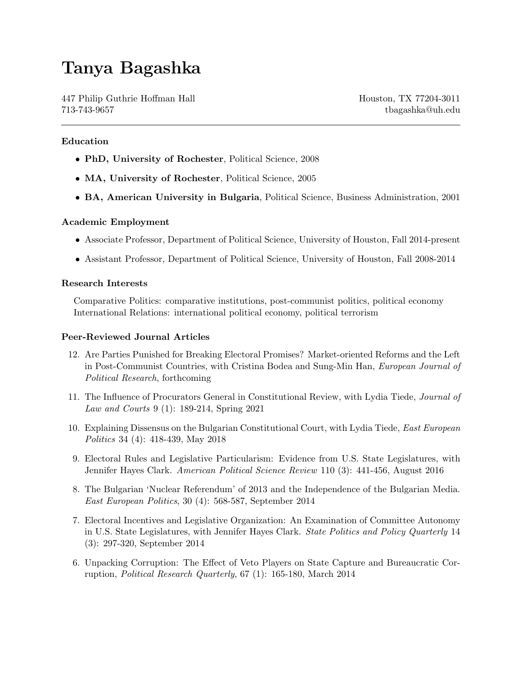# Tanya Bagashka

447 Philip Guthrie Hoffman Hall Houston, TX 77204-3011 713-743-9657 tbagashka@uh.edu

### Education

- PhD, University of Rochester, Political Science, 2008
- MA, University of Rochester, Political Science, 2005
- BA, American University in Bulgaria, Political Science, Business Administration, 2001

#### Academic Employment

- Associate Professor, Department of Political Science, University of Houston, Fall 2014-present
- Assistant Professor, Department of Political Science, University of Houston, Fall 2008-2014

#### Research Interests

Comparative Politics: comparative institutions, post-communist politics, political economy International Relations: international political economy, political terrorism

#### Peer-Reviewed Journal Articles

- 12. Are Parties Punished for Breaking Electoral Promises? Market-oriented Reforms and the Left in Post-Communist Countries, with Cristina Bodea and Sung-Min Han, European Journal of Political Research, forthcoming
- 11. The Influence of Procurators General in Constitutional Review, with Lydia Tiede, Journal of Law and Courts 9 (1): 189-214, Spring 2021
- 10. Explaining Dissensus on the Bulgarian Constitutional Court, with Lydia Tiede, East European Politics 34 (4): 418-439, May 2018
- 9. Electoral Rules and Legislative Particularism: Evidence from U.S. State Legislatures, with Jennifer Hayes Clark. American Political Science Review 110 (3): 441-456, August 2016
- 8. The Bulgarian 'Nuclear Referendum' of 2013 and the Independence of the Bulgarian Media. East European Politics, 30 (4): 568-587, September 2014
- 7. Electoral Incentives and Legislative Organization: An Examination of Committee Autonomy in U.S. State Legislatures, with Jennifer Hayes Clark. State Politics and Policy Quarterly 14 (3): 297-320, September 2014
- 6. Unpacking Corruption: The Effect of Veto Players on State Capture and Bureaucratic Corruption, Political Research Quarterly, 67 (1): 165-180, March 2014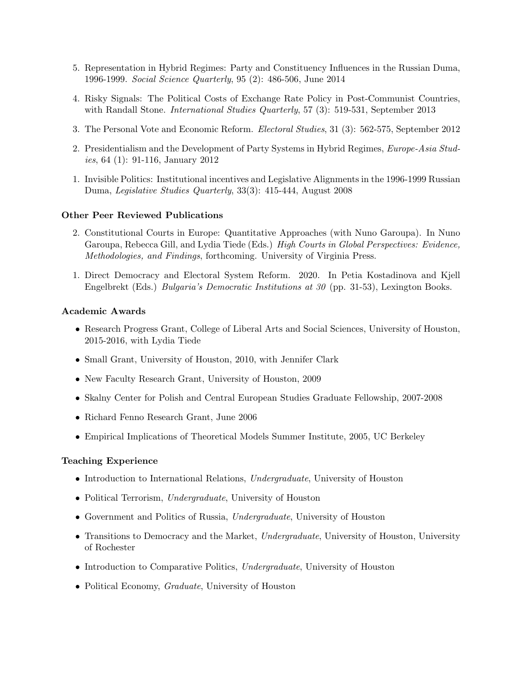- 5. Representation in Hybrid Regimes: Party and Constituency Influences in the Russian Duma, 1996-1999. Social Science Quarterly, 95 (2): 486-506, June 2014
- 4. Risky Signals: The Political Costs of Exchange Rate Policy in Post-Communist Countries, with Randall Stone. *International Studies Quarterly*, 57 (3): 519-531, September 2013
- 3. The Personal Vote and Economic Reform. Electoral Studies, 31 (3): 562-575, September 2012
- 2. Presidentialism and the Development of Party Systems in Hybrid Regimes, Europe-Asia Studies, 64 (1): 91-116, January 2012
- 1. Invisible Politics: Institutional incentives and Legislative Alignments in the 1996-1999 Russian Duma, Legislative Studies Quarterly, 33(3): 415-444, August 2008

#### Other Peer Reviewed Publications

- 2. Constitutional Courts in Europe: Quantitative Approaches (with Nuno Garoupa). In Nuno Garoupa, Rebecca Gill, and Lydia Tiede (Eds.) High Courts in Global Perspectives: Evidence, Methodologies, and Findings, forthcoming. University of Virginia Press.
- 1. Direct Democracy and Electoral System Reform. 2020. In Petia Kostadinova and Kjell Engelbrekt (Eds.) Bulgaria's Democratic Institutions at 30 (pp. 31-53), Lexington Books.

#### Academic Awards

- Research Progress Grant, College of Liberal Arts and Social Sciences, University of Houston, 2015-2016, with Lydia Tiede
- Small Grant, University of Houston, 2010, with Jennifer Clark
- New Faculty Research Grant, University of Houston, 2009
- Skalny Center for Polish and Central European Studies Graduate Fellowship, 2007-2008
- Richard Fenno Research Grant, June 2006
- Empirical Implications of Theoretical Models Summer Institute, 2005, UC Berkeley

#### Teaching Experience

- Introduction to International Relations, Undergraduate, University of Houston
- Political Terrorism, Undergraduate, University of Houston
- Government and Politics of Russia, Undergraduate, University of Houston
- Transitions to Democracy and the Market, Undergraduate, University of Houston, University of Rochester
- Introduction to Comparative Politics, Undergraduate, University of Houston
- Political Economy, Graduate, University of Houston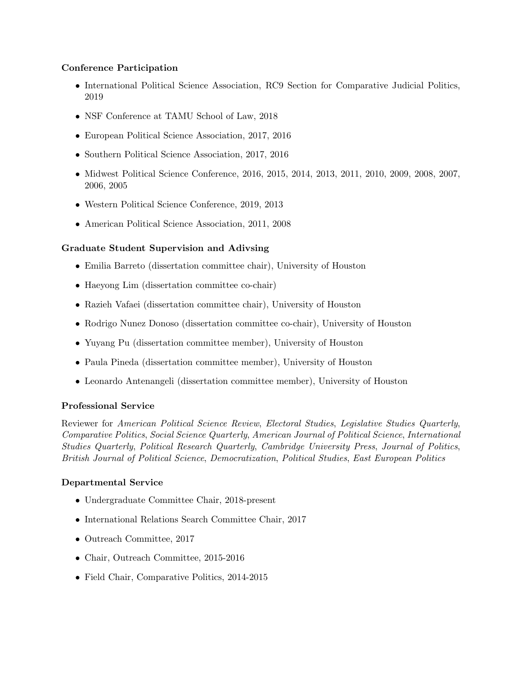# Conference Participation

- International Political Science Association, RC9 Section for Comparative Judicial Politics, 2019
- NSF Conference at TAMU School of Law, 2018
- European Political Science Association, 2017, 2016
- Southern Political Science Association, 2017, 2016
- Midwest Political Science Conference, 2016, 2015, 2014, 2013, 2011, 2010, 2009, 2008, 2007, 2006, 2005
- Western Political Science Conference, 2019, 2013
- American Political Science Association, 2011, 2008

# Graduate Student Supervision and Adivsing

- Emilia Barreto (dissertation committee chair), University of Houston
- Haeyong Lim (dissertation committee co-chair)
- Razieh Vafaei (dissertation committee chair), University of Houston
- Rodrigo Nunez Donoso (dissertation committee co-chair), University of Houston
- Yuyang Pu (dissertation committee member), University of Houston
- Paula Pineda (dissertation committee member), University of Houston
- Leonardo Antenangeli (dissertation committee member), University of Houston

# Professional Service

Reviewer for American Political Science Review, Electoral Studies, Legislative Studies Quarterly, Comparative Politics, Social Science Quarterly, American Journal of Political Science, International Studies Quarterly, Political Research Quarterly, Cambridge University Press, Journal of Politics, British Journal of Political Science, Democratization, Political Studies, East European Politics

# Departmental Service

- Undergraduate Committee Chair, 2018-present
- International Relations Search Committee Chair, 2017
- Outreach Committee, 2017
- Chair, Outreach Committee, 2015-2016
- Field Chair, Comparative Politics, 2014-2015